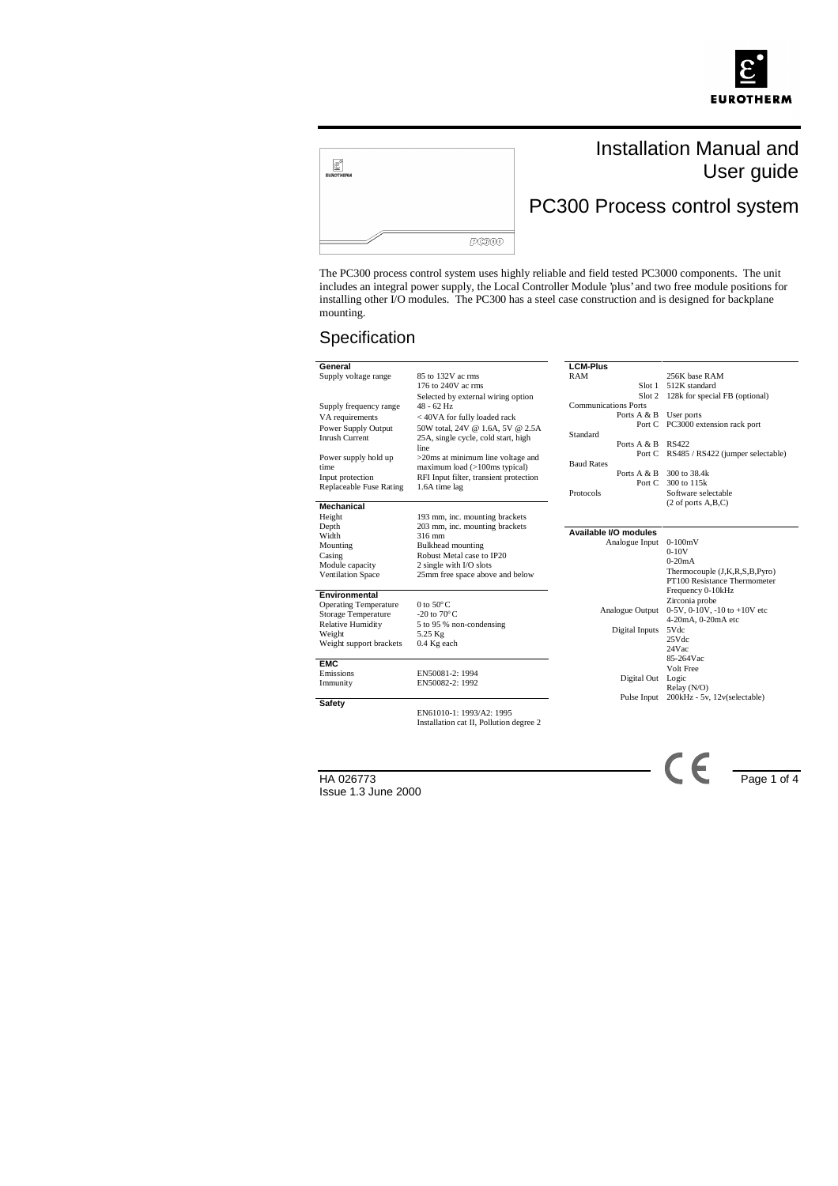



# Installation Manual and User guide

PC300 Process control system

The PC300 process control system uses highly reliable and field tested PC3000 components. The unit includes an integral power supply, the Local Controller Module 'plus' and two free module positions for installing other I/O modules. The PC300 has a steel case construction and is designed for backplane mounting.

## Specification

| General                      |                                        | <b>LCM-Plus</b>             |                                          |
|------------------------------|----------------------------------------|-----------------------------|------------------------------------------|
| Supply voltage range         | 85 to 132V ac rms                      | RAM                         | 256K base RAM                            |
|                              | 176 to 240V ac rms                     | Slot 1                      | 512K standard                            |
|                              | Selected by external wiring option     |                             | Slot 2 128k for special FB (optional)    |
| Supply frequency range       | $48 - 62$ Hz                           | <b>Communications Ports</b> |                                          |
| VA requirements              | < 40VA for fully loaded rack           | Ports A & B                 | User ports                               |
| Power Supply Output          | 50W total, 24V @ 1.6A, 5V @ 2.5A       |                             | Port C PC3000 extension rack port        |
| <b>Inrush Current</b>        | 25A, single cycle, cold start, high    | Standard                    |                                          |
|                              | line                                   | Ports A & B RS422           |                                          |
| Power supply hold up         | >20ms at minimum line voltage and      |                             | Port C RS485 / RS422 (jumper selectable) |
| time                         | maximum load (>100ms typical)          | <b>Baud Rates</b>           |                                          |
| Input protection             | RFI Input filter, transient protection | Ports $A & B$               | 300 to 38.4k                             |
| Replaceable Fuse Rating      | 1.6A time lag                          | Port C                      | 300 to 115k                              |
|                              |                                        | Protocols                   | Software selectable                      |
| <b>Mechanical</b>            |                                        |                             | $(2 \text{ of ports } A, B, C)$          |
| Height                       | 193 mm, inc. mounting brackets         |                             |                                          |
| Depth                        | 203 mm, inc. mounting brackets         |                             |                                          |
| Width                        | 316 mm                                 | Available I/O modules       |                                          |
| Mounting                     | <b>Bulkhead</b> mounting               | Analogue Input              | $0-100mV$                                |
| Casing                       | Robust Metal case to IP20              |                             | $0-10V$                                  |
| Module capacity              | 2 single with I/O slots                |                             | $0-20mA$                                 |
| <b>Ventilation Space</b>     | 25mm free space above and below        |                             | Thermocouple (J,K,R,S,B,Pyro)            |
|                              |                                        |                             | PT100 Resistance Thermometer             |
| Environmental                |                                        |                             | Frequency 0-10kHz                        |
| <b>Operating Temperature</b> | 0 to $50^{\circ}$ C                    |                             | Zirconia probe                           |
| <b>Storage Temperature</b>   | -20 to $70^{\circ}$ C                  | Analogue Output             | 0-5V, 0-10V, -10 to +10V etc             |
| <b>Relative Humidity</b>     | 5 to 95 % non-condensing               |                             | 4-20mA, 0-20mA etc                       |
| Weight                       | 5.25 Kg                                | Digital Inputs              | 5Vdc                                     |
| Weight support brackets      | 0.4 Kg each                            |                             | 25Vdc                                    |
|                              |                                        |                             | 24Vac                                    |
| <b>EMC</b>                   |                                        |                             | 85-264Vac                                |
| Emissions                    | EN50081-2: 1994                        |                             | Volt Free                                |
| Immunity                     | EN50082-2: 1992                        | Digital Out                 | Logic                                    |
|                              |                                        |                             | Relay(N/O)                               |
| Safety                       |                                        | Pulse Input                 | 200kHz - 5v, 12v(selectable)             |
|                              | EN61010-1: 1993/A2: 1995               |                             |                                          |

EN61010-1: 1993/A2: 1995 Installation cat II, Pollution degree 2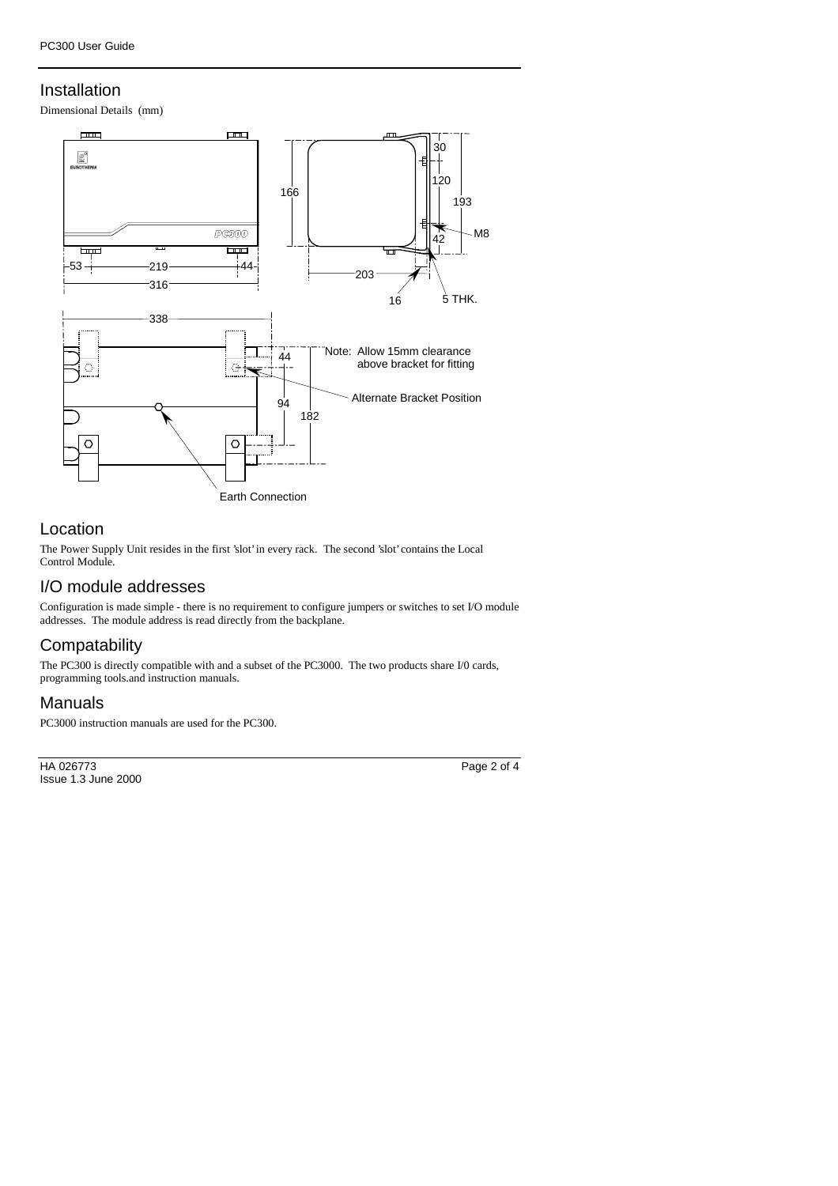#### Installation

Dimensional Details (mm)



#### Location

The Power Supply Unit resides in the first 'slot' in every rack. The second 'slot' contains the Local Control Module.

#### I/O module addresses

Configuration is made simple - there is no requirement to configure jumpers or switches to set I/O module addresses. The module address is read directly from the backplane.

## **Compatability**

The PC300 is directly compatible with and a subset of the PC3000. The two products share I/0 cards, programming tools.and instruction manuals.

# Manuals

PC3000 instruction manuals are used for the PC300.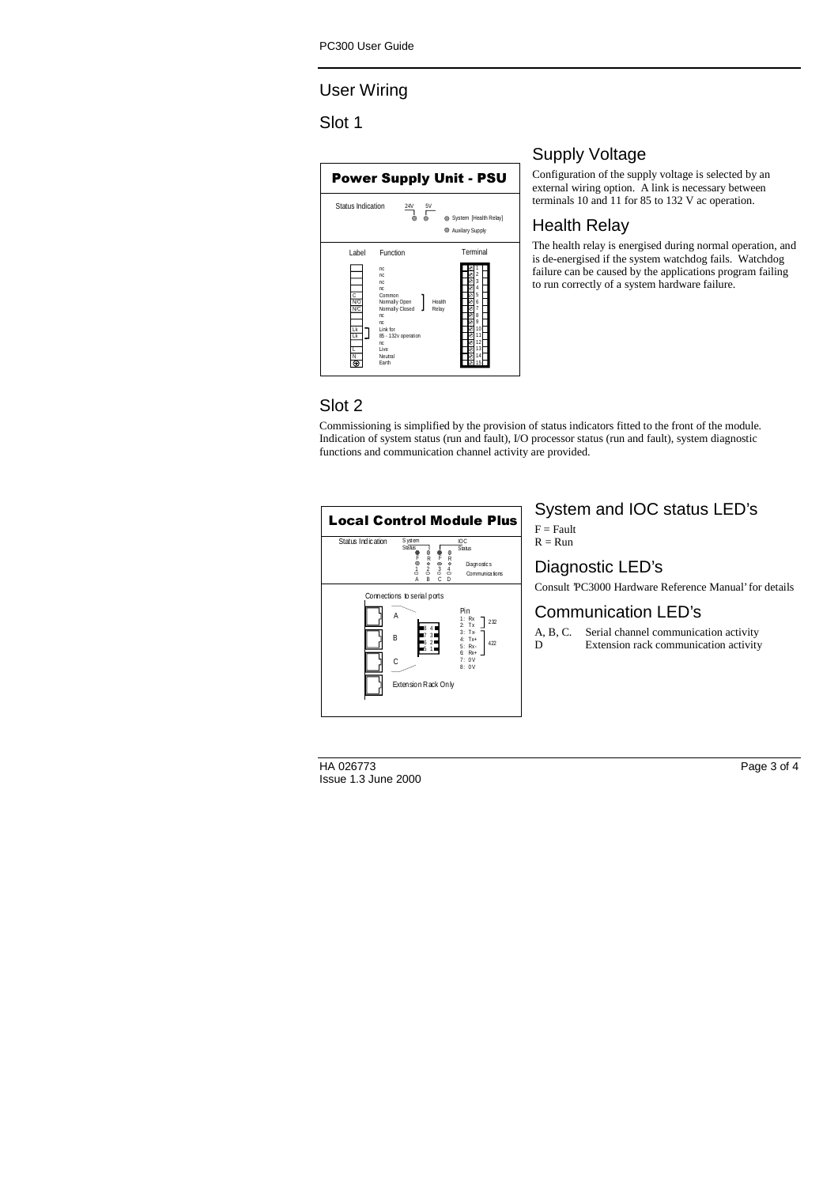# User Wiring

#### Slot 1



# Supply Voltage

Configuration of the supply voltage is selected by an external wiring option. A link is necessary between terminals 10 and 11 for 85 to 132 V ac operation.

### Health Relay

The health relay is energised during normal operation, and is de-energised if the system watchdog fails. Watchdog failure can be caused by the applications program failing to run correctly of a system hardware failure.

# Slot 2

Commissioning is simplified by the provision of status indicators fitted to the front of the module. Indication of system status (run and fault), I/O processor status (run and fault), system diagnostic functions and communication channel activity are provided.



# System and IOC status LED's

 $F =$ Fault  $R = R$ un

# Diagnostic LED's

Consult 'PC3000 Hardware Reference Manual' for details

# Communication LED's

A, B, C. Serial channel communication activity D Extension rack communication activity